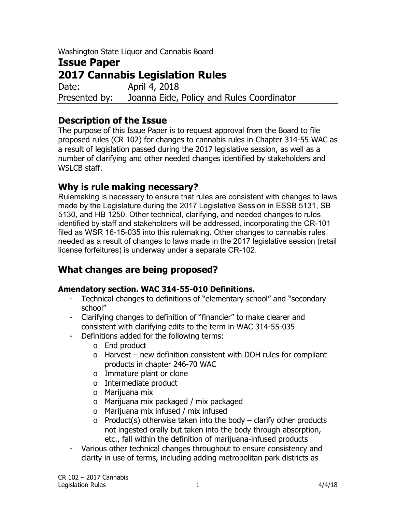Washington State Liquor and Cannabis Board

# **Issue Paper 2017 Cannabis Legislation Rules**  Date: **April 4, 2018** Presented by: Joanna Eide, Policy and Rules Coordinator

**Description of the Issue** 

The purpose of this Issue Paper is to request approval from the Board to file proposed rules (CR 102) for changes to cannabis rules in Chapter 314-55 WAC as a result of legislation passed during the 2017 legislative session, as well as a number of clarifying and other needed changes identified by stakeholders and WSLCB staff.

# **Why is rule making necessary?**

Rulemaking is necessary to ensure that rules are consistent with changes to laws made by the Legislature during the 2017 Legislative Session in ESSB 5131, SB 5130, and HB 1250. Other technical, clarifying, and needed changes to rules identified by staff and stakeholders will be addressed, incorporating the CR-101 filed as WSR 16-15-035 into this rulemaking. Other changes to cannabis rules needed as a result of changes to laws made in the 2017 legislative session (retail license forfeitures) is underway under a separate CR-102.

# **What changes are being proposed?**

# **Amendatory section. WAC 314-55-010 Definitions.**

- Technical changes to definitions of "elementary school" and "secondary school"
- Clarifying changes to definition of "financier" to make clearer and consistent with clarifying edits to the term in WAC 314-55-035
- Definitions added for the following terms:
	- o End product
	- $\circ$  Harvest new definition consistent with DOH rules for compliant products in chapter 246-70 WAC
	- o Immature plant or clone
	- o Intermediate product
	- o Marijuana mix
	- o Marijuana mix packaged / mix packaged
	- o Marijuana mix infused / mix infused
	- $\circ$  Product(s) otherwise taken into the body clarify other products not ingested orally but taken into the body through absorption, etc., fall within the definition of marijuana-infused products
- Various other technical changes throughout to ensure consistency and clarity in use of terms, including adding metropolitan park districts as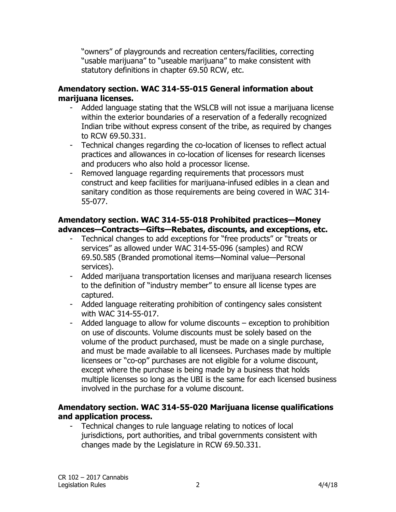"owners" of playgrounds and recreation centers/facilities, correcting "usable marijuana" to "useable marijuana" to make consistent with statutory definitions in chapter 69.50 RCW, etc.

## **Amendatory section. WAC 314-55-015 General information about marijuana licenses.**

- Added language stating that the WSLCB will not issue a marijuana license within the exterior boundaries of a reservation of a federally recognized Indian tribe without express consent of the tribe, as required by changes to RCW 69.50.331.
- Technical changes regarding the co-location of licenses to reflect actual practices and allowances in co-location of licenses for research licenses and producers who also hold a processor license.
- Removed language regarding requirements that processors must construct and keep facilities for marijuana-infused edibles in a clean and sanitary condition as those requirements are being covered in WAC 314- 55-077.

#### **Amendatory section. WAC 314-55-018 Prohibited practices—Money advances—Contracts—Gifts—Rebates, discounts, and exceptions, etc.**

- Technical changes to add exceptions for "free products" or "treats or services" as allowed under WAC 314-55-096 (samples) and RCW 69.50.585 (Branded promotional items—Nominal value—Personal services).
- Added marijuana transportation licenses and marijuana research licenses to the definition of "industry member" to ensure all license types are captured.
- Added language reiterating prohibition of contingency sales consistent with WAC 314-55-017.
- Added language to allow for volume discounts exception to prohibition on use of discounts. Volume discounts must be solely based on the volume of the product purchased, must be made on a single purchase, and must be made available to all licensees. Purchases made by multiple licensees or "co-op" purchases are not eligible for a volume discount, except where the purchase is being made by a business that holds multiple licenses so long as the UBI is the same for each licensed business involved in the purchase for a volume discount.

## **Amendatory section. WAC 314-55-020 Marijuana license qualifications and application process.**

- Technical changes to rule language relating to notices of local jurisdictions, port authorities, and tribal governments consistent with changes made by the Legislature in RCW 69.50.331.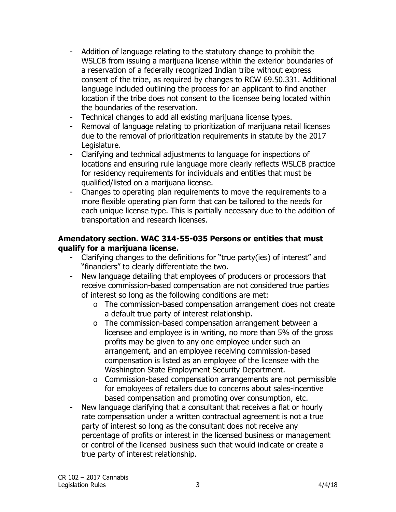- Addition of language relating to the statutory change to prohibit the WSLCB from issuing a marijuana license within the exterior boundaries of a reservation of a federally recognized Indian tribe without express consent of the tribe, as required by changes to RCW 69.50.331. Additional language included outlining the process for an applicant to find another location if the tribe does not consent to the licensee being located within the boundaries of the reservation.
- Technical changes to add all existing marijuana license types.
- Removal of language relating to prioritization of marijuana retail licenses due to the removal of prioritization requirements in statute by the 2017 Legislature.
- Clarifying and technical adjustments to language for inspections of locations and ensuring rule language more clearly reflects WSLCB practice for residency requirements for individuals and entities that must be qualified/listed on a marijuana license.
- Changes to operating plan requirements to move the requirements to a more flexible operating plan form that can be tailored to the needs for each unique license type. This is partially necessary due to the addition of transportation and research licenses.

## **Amendatory section. WAC 314-55-035 Persons or entities that must qualify for a marijuana license.**

- Clarifying changes to the definitions for "true party(ies) of interest" and "financiers" to clearly differentiate the two.
- New language detailing that employees of producers or processors that receive commission-based compensation are not considered true parties of interest so long as the following conditions are met:
	- o The commission-based compensation arrangement does not create a default true party of interest relationship.
	- o The commission-based compensation arrangement between a licensee and employee is in writing, no more than 5% of the gross profits may be given to any one employee under such an arrangement, and an employee receiving commission-based compensation is listed as an employee of the licensee with the Washington State Employment Security Department.
	- o Commission-based compensation arrangements are not permissible for employees of retailers due to concerns about sales-incentive based compensation and promoting over consumption, etc.
- New language clarifying that a consultant that receives a flat or hourly rate compensation under a written contractual agreement is not a true party of interest so long as the consultant does not receive any percentage of profits or interest in the licensed business or management or control of the licensed business such that would indicate or create a true party of interest relationship.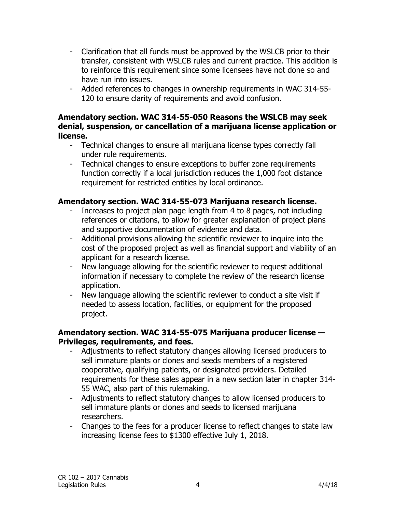- Clarification that all funds must be approved by the WSLCB prior to their transfer, consistent with WSLCB rules and current practice. This addition is to reinforce this requirement since some licensees have not done so and have run into issues.
- Added references to changes in ownership requirements in WAC 314-55- 120 to ensure clarity of requirements and avoid confusion.

#### **Amendatory section. WAC 314-55-050 Reasons the WSLCB may seek denial, suspension, or cancellation of a marijuana license application or license.**

- Technical changes to ensure all marijuana license types correctly fall under rule requirements.
- Technical changes to ensure exceptions to buffer zone requirements function correctly if a local jurisdiction reduces the 1,000 foot distance requirement for restricted entities by local ordinance.

# **Amendatory section. WAC 314-55-073 Marijuana research license.**

- Increases to project plan page length from 4 to 8 pages, not including references or citations, to allow for greater explanation of project plans and supportive documentation of evidence and data.
- Additional provisions allowing the scientific reviewer to inquire into the cost of the proposed project as well as financial support and viability of an applicant for a research license.
- New language allowing for the scientific reviewer to request additional information if necessary to complete the review of the research license application.
- New language allowing the scientific reviewer to conduct a site visit if needed to assess location, facilities, or equipment for the proposed project.

## **Amendatory section. WAC 314-55-075 Marijuana producer license — Privileges, requirements, and fees.**

- Adjustments to reflect statutory changes allowing licensed producers to sell immature plants or clones and seeds members of a registered cooperative, qualifying patients, or designated providers. Detailed requirements for these sales appear in a new section later in chapter 314- 55 WAC, also part of this rulemaking.
- Adjustments to reflect statutory changes to allow licensed producers to sell immature plants or clones and seeds to licensed marijuana researchers.
- Changes to the fees for a producer license to reflect changes to state law increasing license fees to \$1300 effective July 1, 2018.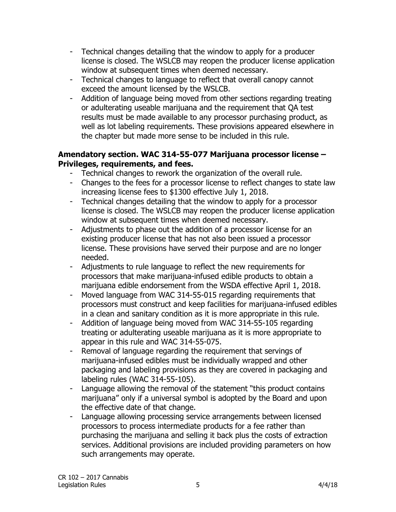- Technical changes detailing that the window to apply for a producer license is closed. The WSLCB may reopen the producer license application window at subsequent times when deemed necessary.
- Technical changes to language to reflect that overall canopy cannot exceed the amount licensed by the WSLCB.
- Addition of language being moved from other sections regarding treating or adulterating useable marijuana and the requirement that QA test results must be made available to any processor purchasing product, as well as lot labeling requirements. These provisions appeared elsewhere in the chapter but made more sense to be included in this rule.

# **Amendatory section. WAC 314-55-077 Marijuana processor license – Privileges, requirements, and fees.**

- Technical changes to rework the organization of the overall rule.
- Changes to the fees for a processor license to reflect changes to state law increasing license fees to \$1300 effective July 1, 2018.
- Technical changes detailing that the window to apply for a processor license is closed. The WSLCB may reopen the producer license application window at subsequent times when deemed necessary.
- Adjustments to phase out the addition of a processor license for an existing producer license that has not also been issued a processor license. These provisions have served their purpose and are no longer needed.
- Adjustments to rule language to reflect the new requirements for processors that make marijuana-infused edible products to obtain a marijuana edible endorsement from the WSDA effective April 1, 2018.
- Moved language from WAC 314-55-015 regarding requirements that processors must construct and keep facilities for marijuana-infused edibles in a clean and sanitary condition as it is more appropriate in this rule.
- Addition of language being moved from WAC 314-55-105 regarding treating or adulterating useable marijuana as it is more appropriate to appear in this rule and WAC 314-55-075.
- Removal of language regarding the requirement that servings of marijuana-infused edibles must be individually wrapped and other packaging and labeling provisions as they are covered in packaging and labeling rules (WAC 314-55-105).
- Language allowing the removal of the statement "this product contains" marijuana" only if a universal symbol is adopted by the Board and upon the effective date of that change.
- Language allowing processing service arrangements between licensed processors to process intermediate products for a fee rather than purchasing the marijuana and selling it back plus the costs of extraction services. Additional provisions are included providing parameters on how such arrangements may operate.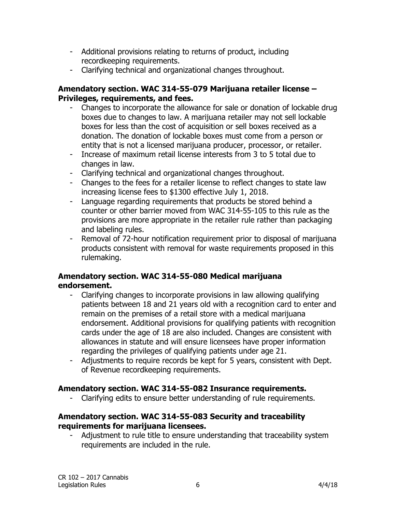- Additional provisions relating to returns of product, including recordkeeping requirements.
- Clarifying technical and organizational changes throughout.

## **Amendatory section. WAC 314-55-079 Marijuana retailer license – Privileges, requirements, and fees.**

- Changes to incorporate the allowance for sale or donation of lockable drug boxes due to changes to law. A marijuana retailer may not sell lockable boxes for less than the cost of acquisition or sell boxes received as a donation. The donation of lockable boxes must come from a person or entity that is not a licensed marijuana producer, processor, or retailer.
- Increase of maximum retail license interests from 3 to 5 total due to changes in law.
- Clarifying technical and organizational changes throughout.
- Changes to the fees for a retailer license to reflect changes to state law increasing license fees to \$1300 effective July 1, 2018.
- Language regarding requirements that products be stored behind a counter or other barrier moved from WAC 314-55-105 to this rule as the provisions are more appropriate in the retailer rule rather than packaging and labeling rules.
- Removal of 72-hour notification requirement prior to disposal of marijuana products consistent with removal for waste requirements proposed in this rulemaking.

## **Amendatory section. WAC 314-55-080 Medical marijuana endorsement.**

- Clarifying changes to incorporate provisions in law allowing qualifying patients between 18 and 21 years old with a recognition card to enter and remain on the premises of a retail store with a medical marijuana endorsement. Additional provisions for qualifying patients with recognition cards under the age of 18 are also included. Changes are consistent with allowances in statute and will ensure licensees have proper information regarding the privileges of qualifying patients under age 21.
- Adjustments to require records be kept for 5 years, consistent with Dept. of Revenue recordkeeping requirements.

# **Amendatory section. WAC 314-55-082 Insurance requirements.**

- Clarifying edits to ensure better understanding of rule requirements.

## **Amendatory section. WAC 314-55-083 Security and traceability requirements for marijuana licensees.**

- Adjustment to rule title to ensure understanding that traceability system requirements are included in the rule.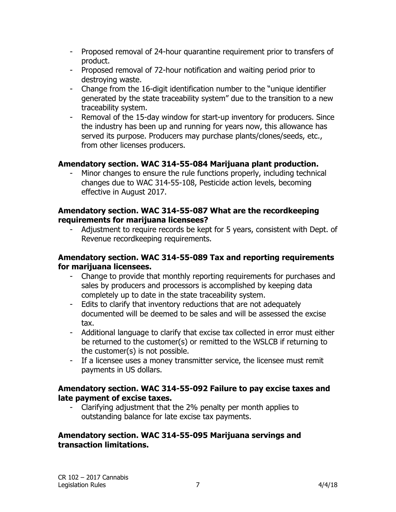- Proposed removal of 24-hour quarantine requirement prior to transfers of product.
- Proposed removal of 72-hour notification and waiting period prior to destroying waste.
- Change from the 16-digit identification number to the "unique identifier generated by the state traceability system" due to the transition to a new traceability system.
- Removal of the 15-day window for start-up inventory for producers. Since the industry has been up and running for years now, this allowance has served its purpose. Producers may purchase plants/clones/seeds, etc., from other licenses producers.

# **Amendatory section. WAC 314-55-084 Marijuana plant production.**

Minor changes to ensure the rule functions properly, including technical changes due to WAC 314-55-108, Pesticide action levels, becoming effective in August 2017.

## **Amendatory section. WAC 314-55-087 What are the recordkeeping requirements for marijuana licensees?**

Adjustment to require records be kept for 5 years, consistent with Dept. of Revenue recordkeeping requirements.

#### **Amendatory section. WAC 314-55-089 Tax and reporting requirements for marijuana licensees.**

- Change to provide that monthly reporting requirements for purchases and sales by producers and processors is accomplished by keeping data completely up to date in the state traceability system.
- Edits to clarify that inventory reductions that are not adequately documented will be deemed to be sales and will be assessed the excise tax.
- Additional language to clarify that excise tax collected in error must either be returned to the customer(s) or remitted to the WSLCB if returning to the customer(s) is not possible.
- If a licensee uses a money transmitter service, the licensee must remit payments in US dollars.

## **Amendatory section. WAC 314-55-092 Failure to pay excise taxes and late payment of excise taxes.**

- Clarifying adjustment that the 2% penalty per month applies to outstanding balance for late excise tax payments.

#### **Amendatory section. WAC 314-55-095 Marijuana servings and transaction limitations.**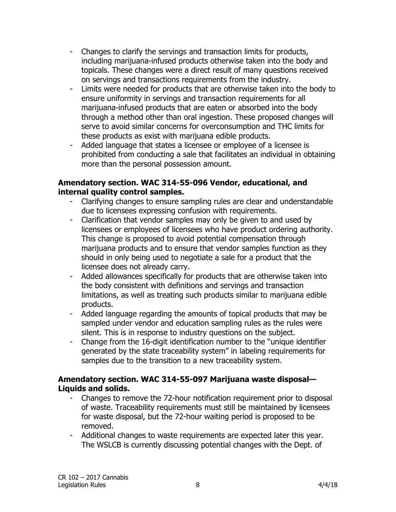- Changes to clarify the servings and transaction limits for products, including marijuana-infused products otherwise taken into the body and topicals. These changes were a direct result of many questions received on servings and transactions requirements from the industry.
- Limits were needed for products that are otherwise taken into the body to ensure uniformity in servings and transaction requirements for all marijuana-infused products that are eaten or absorbed into the body through a method other than oral ingestion. These proposed changes will serve to avoid similar concerns for overconsumption and THC limits for these products as exist with marijuana edible products.
- Added language that states a licensee or employee of a licensee is prohibited from conducting a sale that facilitates an individual in obtaining more than the personal possession amount.

## **Amendatory section. WAC 314-55-096 Vendor, educational, and internal quality control samples.**

- Clarifying changes to ensure sampling rules are clear and understandable due to licensees expressing confusion with requirements.
- Clarification that vendor samples may only be given to and used by licensees or employees of licensees who have product ordering authority. This change is proposed to avoid potential compensation through marijuana products and to ensure that vendor samples function as they should in only being used to negotiate a sale for a product that the licensee does not already carry.
- Added allowances specifically for products that are otherwise taken into the body consistent with definitions and servings and transaction limitations, as well as treating such products similar to marijuana edible products.
- Added language regarding the amounts of topical products that may be sampled under vendor and education sampling rules as the rules were silent. This is in response to industry questions on the subject.
- Change from the 16-digit identification number to the "unique identifier generated by the state traceability system" in labeling requirements for samples due to the transition to a new traceability system.

## **Amendatory section. WAC 314-55-097 Marijuana waste disposal— Liquids and solids.**

- Changes to remove the 72-hour notification requirement prior to disposal of waste. Traceability requirements must still be maintained by licensees for waste disposal, but the 72-hour waiting period is proposed to be removed.
- Additional changes to waste requirements are expected later this year. The WSLCB is currently discussing potential changes with the Dept. of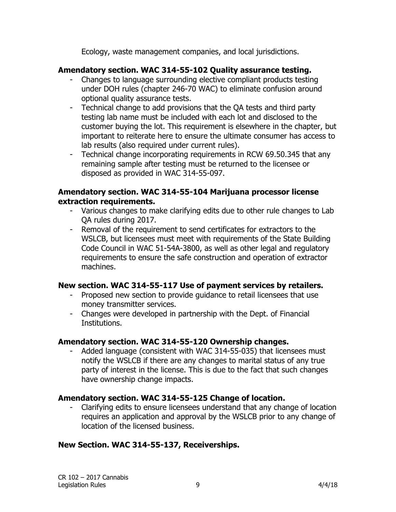Ecology, waste management companies, and local jurisdictions.

# **Amendatory section. WAC 314-55-102 Quality assurance testing.**

- Changes to language surrounding elective compliant products testing under DOH rules (chapter 246-70 WAC) to eliminate confusion around optional quality assurance tests.
- Technical change to add provisions that the QA tests and third party testing lab name must be included with each lot and disclosed to the customer buying the lot. This requirement is elsewhere in the chapter, but important to reiterate here to ensure the ultimate consumer has access to lab results (also required under current rules).
- Technical change incorporating requirements in RCW 69.50.345 that any remaining sample after testing must be returned to the licensee or disposed as provided in WAC 314-55-097.

#### **Amendatory section. WAC 314-55-104 Marijuana processor license extraction requirements.**

- Various changes to make clarifying edits due to other rule changes to Lab QA rules during 2017.
- Removal of the requirement to send certificates for extractors to the WSLCB, but licensees must meet with requirements of the State Building Code Council in WAC 51-54A-3800, as well as other legal and regulatory requirements to ensure the safe construction and operation of extractor machines.

#### **New section. WAC 314-55-117 Use of payment services by retailers.**

- Proposed new section to provide guidance to retail licensees that use money transmitter services.
- Changes were developed in partnership with the Dept. of Financial Institutions.

# **Amendatory section. WAC 314-55-120 Ownership changes.**

Added language (consistent with WAC 314-55-035) that licensees must notify the WSLCB if there are any changes to marital status of any true party of interest in the license. This is due to the fact that such changes have ownership change impacts.

# **Amendatory section. WAC 314-55-125 Change of location.**

- Clarifying edits to ensure licensees understand that any change of location requires an application and approval by the WSLCB prior to any change of location of the licensed business.

# **New Section. WAC 314-55-137, Receiverships.**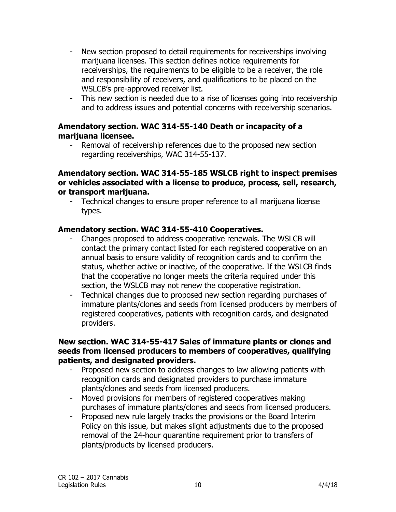- New section proposed to detail requirements for receiverships involving marijuana licenses. This section defines notice requirements for receiverships, the requirements to be eligible to be a receiver, the role and responsibility of receivers, and qualifications to be placed on the WSLCB's pre-approved receiver list.
- This new section is needed due to a rise of licenses going into receivership and to address issues and potential concerns with receivership scenarios.

## **Amendatory section. WAC 314-55-140 Death or incapacity of a marijuana licensee.**

- Removal of receivership references due to the proposed new section regarding receiverships, WAC 314-55-137.

#### **Amendatory section. WAC 314-55-185 WSLCB right to inspect premises or vehicles associated with a license to produce, process, sell, research, or transport marijuana.**

- Technical changes to ensure proper reference to all marijuana license types.

## **Amendatory section. WAC 314-55-410 Cooperatives.**

- Changes proposed to address cooperative renewals. The WSLCB will contact the primary contact listed for each registered cooperative on an annual basis to ensure validity of recognition cards and to confirm the status, whether active or inactive, of the cooperative. If the WSLCB finds that the cooperative no longer meets the criteria required under this section, the WSLCB may not renew the cooperative registration.
- Technical changes due to proposed new section regarding purchases of immature plants/clones and seeds from licensed producers by members of registered cooperatives, patients with recognition cards, and designated providers.

#### **New section. WAC 314-55-417 Sales of immature plants or clones and seeds from licensed producers to members of cooperatives, qualifying patients, and designated providers.**

- Proposed new section to address changes to law allowing patients with recognition cards and designated providers to purchase immature plants/clones and seeds from licensed producers.
- Moved provisions for members of registered cooperatives making purchases of immature plants/clones and seeds from licensed producers.
- Proposed new rule largely tracks the provisions or the Board Interim Policy on this issue, but makes slight adjustments due to the proposed removal of the 24-hour quarantine requirement prior to transfers of plants/products by licensed producers.